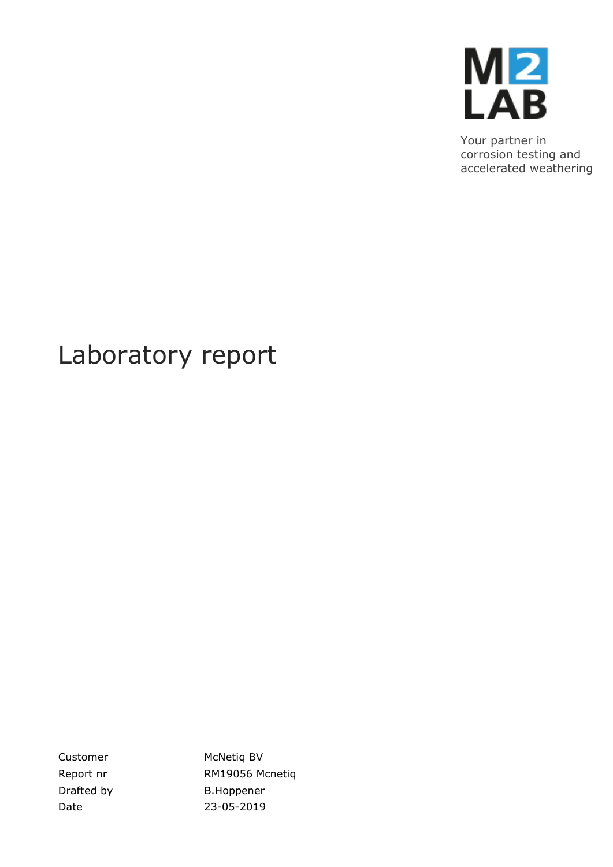

Your partner in corrosion testing and accelerated weathering

# Laboratory report

Customer McNetiq BV Report nr RM19056 Mcnetiq Drafted by B.Hoppener Date 23-05-2019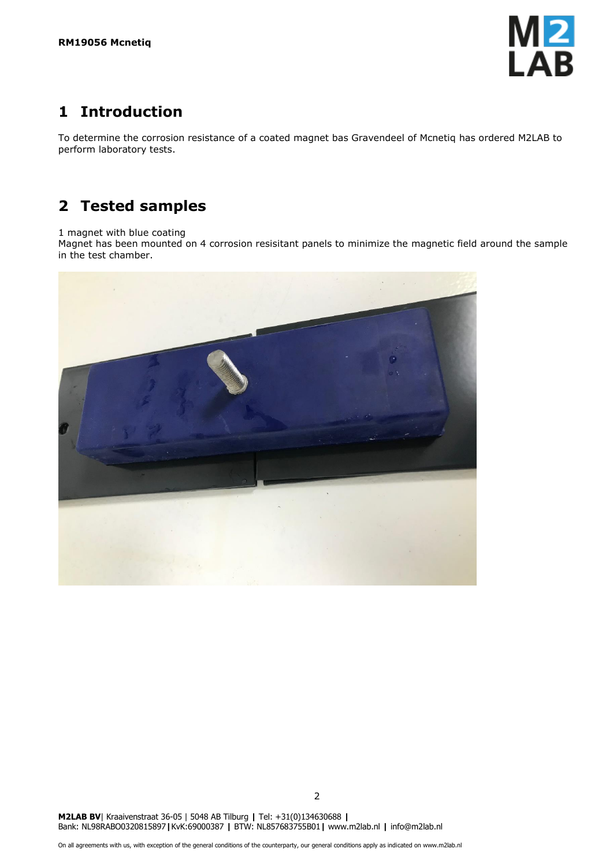

## **1 Introduction**

To determine the corrosion resistance of a coated magnet bas Gravendeel of Mcnetiq has ordered M2LAB to perform laboratory tests.

## **2 Tested samples**

1 magnet with blue coating

Magnet has been mounted on 4 corrosion resisitant panels to minimize the magnetic field around the sample in the test chamber.

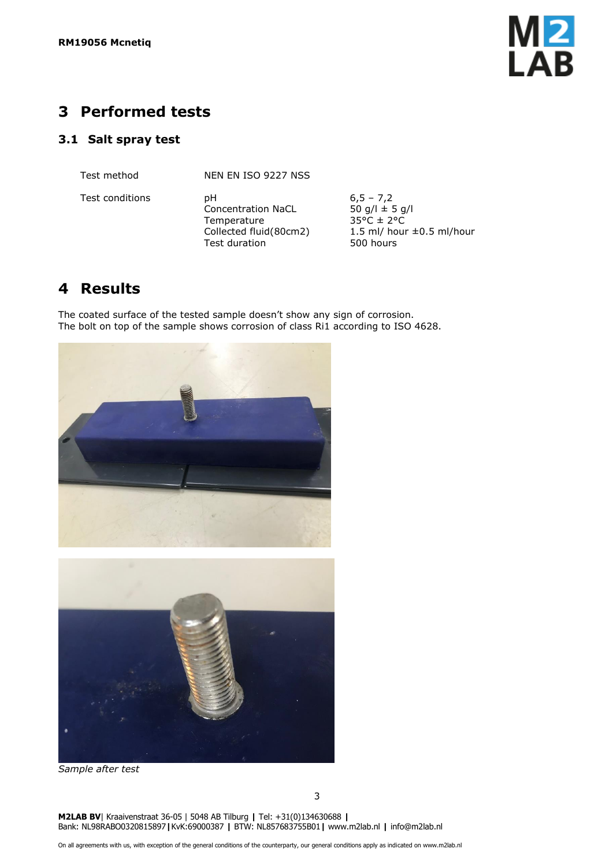

### **3 Performed tests**

#### **3.1 Salt spray test**

Test method NEN EN ISO 9227 NSS

Test conditions  $pH$  concentration NaCL  $6,5 - 7,2$ <br>Concentration NaCL  $50 \frac{g}{1 \pm 5} \frac{g}{1}$ Concentration NaCL 50 g/l  $\pm$  5 g<br>Temperature 35°C  $\pm$  2°C Temperature<br>Collected fluid(80cm2) Test duration 500 hours

1.5 ml/ hour  $\pm$ 0.5 ml/hour

## **4 Results**

The coated surface of the tested sample doesn't show any sign of corrosion. The bolt on top of the sample shows corrosion of class Ri1 according to ISO 4628.



*Sample after test*

3

**M2LAB BV**| Kraaivenstraat 36-05 | 5048 AB Tilburg **|** Tel: +31(0)134630688 **|** Bank: NL98RABO0320815897**|**KvK:69000387 **|** BTW: NL857683755B01**|** www.m2lab.nl **|** info@m2lab.nl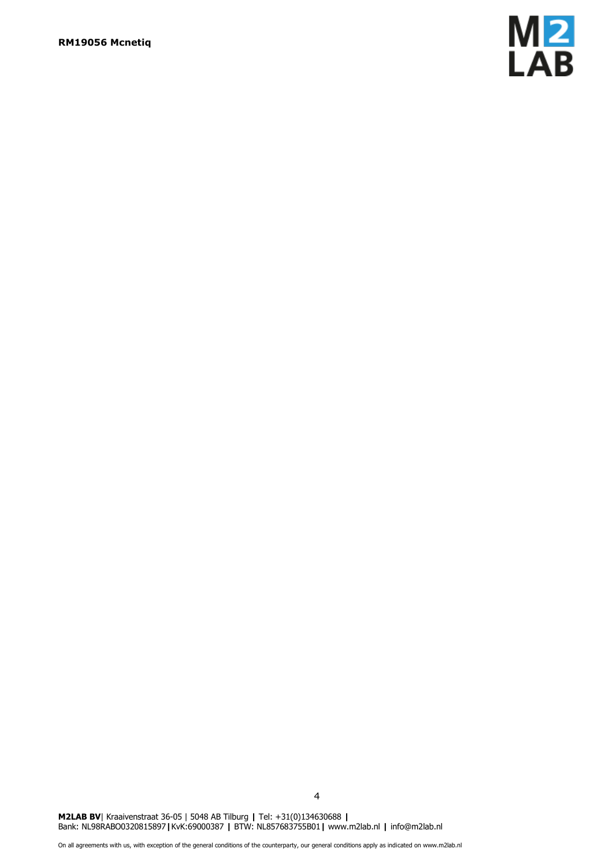**RM19056 Mcnetiq**



4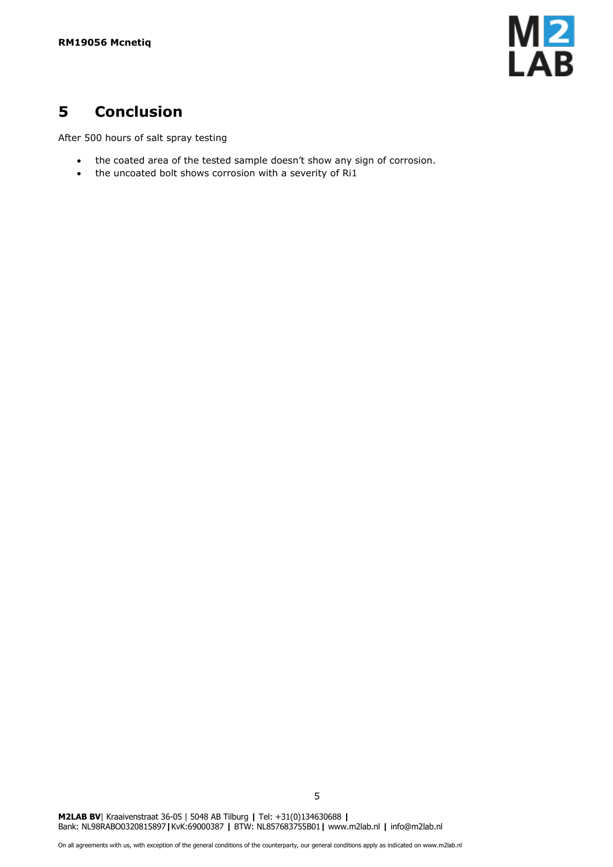

## **5 Conclusion**

After 500 hours of salt spray testing

- the coated area of the tested sample doesn't show any sign of corrosion.
- the uncoated bolt shows corrosion with a severity of Ri1